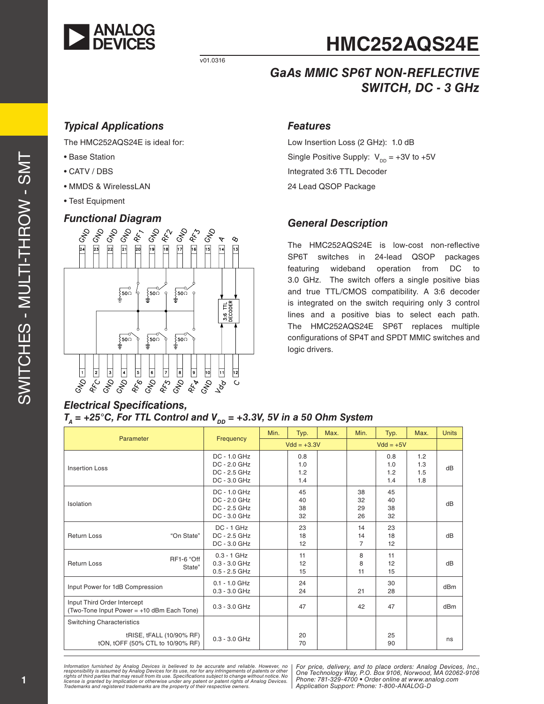

**HMC252AQS24E**

## *GaAs MMIC SP6T NON-REFLECTIVE SWITCH, DC - 3 GHz*

### *Typical Applications*

The HMC252AQS24E is ideal for:

- Base Station
- CATV / DBS
- MMDS & WirelessLAN
- Test Equipment

### *Functional Diagram*



### *Features*

Low Insertion Loss (2 GHz): 1.0 dB Single Positive Supply:  $V_{DD} = +3V$  to  $+5V$ Integrated 3:6 TTL Decoder 24 Lead QSOP Package

### *General Description*

The HMC252AQS24E is low-cost non-reflective SP6T switches in 24-lead QSOP packages featuring wideband operation from DC to 3.0 GHz. The switch offers a single positive bias and true TTL/CMOS compatibility. A 3:6 decoder is integrated on the switch requiring only 3 control lines and a positive bias to select each path. The HMC252AQS24E SP6T replaces multiple configurations of SP4T and SPDT MMIC switches and logic drivers.

# *Electrical Specifications,*  $T_A$  = +25°C, For TTL Control and  $V_{DD}$  = +3.3V, 5V in a 50 Ohm System

v01.0316

| Parameter                                                                 |                      | Frequency                                                        | Min.          | Typ.                     | Max.        | Min.                       | Typ.                     | Max.                     | <b>Units</b> |
|---------------------------------------------------------------------------|----------------------|------------------------------------------------------------------|---------------|--------------------------|-------------|----------------------------|--------------------------|--------------------------|--------------|
|                                                                           |                      |                                                                  | $Vdd = +3.3V$ |                          | $Vdd = +5V$ |                            |                          |                          |              |
| <b>Insertion Loss</b>                                                     |                      | $DC - 1.0$ $GHz$<br>DC - 2.0 GHz<br>DC - 2.5 GHz<br>DC - 3.0 GHz |               | 0.8<br>1.0<br>1.2<br>1.4 |             |                            | 0.8<br>1.0<br>1.2<br>1.4 | 1.2<br>1.3<br>1.5<br>1.8 | dB           |
| Isolation                                                                 |                      | DC - 1.0 GHz<br>DC - 2.0 GHz<br>DC - 2.5 GHz<br>$DC - 3.0$ $GHz$ |               | 45<br>40<br>38<br>32     |             | 38<br>32<br>29<br>26       | 45<br>40<br>38<br>32     |                          | dB           |
| <b>Return Loss</b>                                                        | "On State"           | DC - 1 GHz<br>DC - 2.5 GHz<br>DC - 3.0 GHz                       |               | 23<br>18<br>12           |             | 14<br>14<br>$\overline{7}$ | 23<br>18<br>12           |                          | dB           |
| <b>Return Loss</b>                                                        | RF1-6 "Off<br>State" | $0.3 - 1$ GHz<br>$0.3 - 3.0$ GHz<br>$0.5 - 2.5$ GHz              |               | 11<br>12<br>15           |             | 8<br>8<br>11               | 11<br>12<br>15           |                          | dB           |
| Input Power for 1dB Compression                                           |                      | $0.1 - 1.0$ GHz<br>$0.3 - 3.0$ GHz                               |               | 24<br>24                 |             | 21                         | 30<br>28                 |                          | dBm          |
| Input Third Order Intercept<br>(Two-Tone Input Power = +10 dBm Each Tone) |                      | $0.3 - 3.0$ GHz                                                  |               | 47                       |             | 42                         | 47                       |                          | dBm          |
| <b>Switching Characteristics</b>                                          |                      |                                                                  |               |                          |             |                            |                          |                          |              |
| tRISE, tFALL (10/90% RF)<br>tON, tOFF (50% CTL to 10/90% RF)              |                      | $0.3 - 3.0$ GHz                                                  |               | 20<br>70                 |             |                            | 25<br>90                 |                          | ns           |

Information furnished by Analog Devices is believed to be accurate and reliable. However, no<br>responsibility is assumed by Analog Devices for its use, nor for any infringements of patents or other<br>rights of third parties th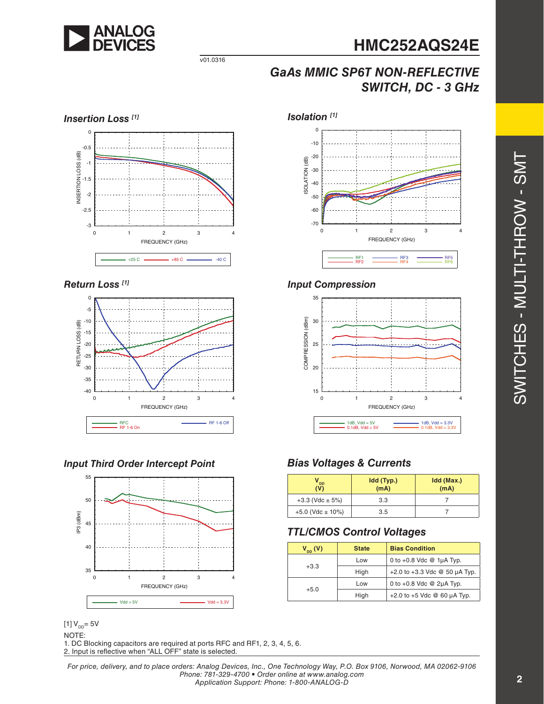

# **HMC252AQS24E**

*GaAs MMIC SP6T NON-REFLECTIVE SWITCH, DC - 3 GHz*



v01.0316

#### *Return Loss [1]*



### *Input Third Order Intercept Point*



 $[1] V_{DD} = 5V$ NOTE: 1. DC Blocking capacitors are required at ports RFC and RF1, 2, 3, 4, 5, 6. 2. Input is reflective when "ALL OFF" state is selected.



#### *Input Compression*



### *Bias Voltages & Currents*

| DD <sup>'</sup><br>(V) | Idd (Typ.)<br>(mA) | Idd (Max.)<br>(mA) |
|------------------------|--------------------|--------------------|
| $+3.3$ (Vdc $\pm$ 5%)  | 3.3                |                    |
| $+5.0$ (Vdc $\pm$ 10%) | 3.5                |                    |

### *TTL/CMOS Control Voltages*

| $V_{DD}(V)$ | <b>State</b> | <b>Bias Condition</b>                  |
|-------------|--------------|----------------------------------------|
| $+3.3$      | Low          | 0 to $+0.8$ Vdc @ 1µA Typ.             |
|             | High         | $+2.0$ to $+3.3$ Vdc @ 50 $\mu$ A Typ. |
| $+5.0$      | Low          | 0 to $+0.8$ Vdc @ 2 $\mu$ A Typ.       |
|             | High         | $+2.0$ to $+5$ Vdc @ 60 $\mu$ A Typ.   |

*For price, delivery, and to place orders: Analog Devices, Inc., One Technology Way, P.O. Box 9106, Norwood, MA 02062-9106 Phone: 781-329-4700 • Order online at www.analog.com Application Support: Phone: 1-800-ANALOG-D*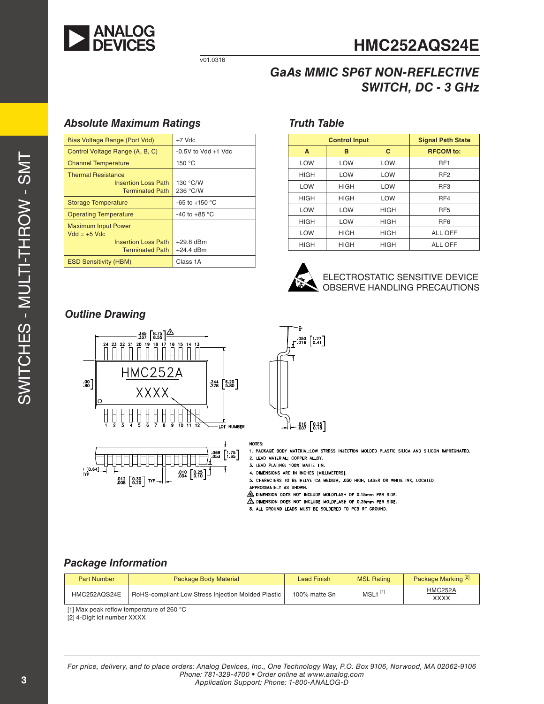

v01.0316

# **HMC252AQS24E**

### *GaAs MMIC SP6T NON-REFLECTIVE SWITCH, DC - 3 GHz*

### *Absolute Maximum Ratings*

| Bias Voltage Range (Port Vdd)                                                                        | $+7$ Vdc                   |  |
|------------------------------------------------------------------------------------------------------|----------------------------|--|
| Control Voltage Range (A, B, C)                                                                      | $-0.5V$ to Vdd $+1$ Vdc    |  |
| <b>Channel Temperature</b>                                                                           | 150 °C                     |  |
| <b>Thermal Resistance</b><br><b>Insertion Loss Path</b><br><b>Terminated Path</b>                    | 130 °C/W<br>236 °C/W       |  |
| <b>Storage Temperature</b>                                                                           | $-65$ to $+150$ °C         |  |
| <b>Operating Temperature</b>                                                                         | -40 to +85 $\degree$ C     |  |
| <b>Maximum Input Power</b><br>$Vdd = +5$ Vdc<br><b>Insertion Loss Path</b><br><b>Terminated Path</b> | $+29.8$ dBm<br>$+24.4$ dBm |  |
| <b>ESD Sensitivity (HBM)</b>                                                                         | Class 1A                   |  |

### *Truth Table*

|             | <b>Control Input</b> | <b>Signal Path State</b> |                  |
|-------------|----------------------|--------------------------|------------------|
| A           | в                    | C                        | <b>RFCOM</b> to: |
| LOW         | <b>LOW</b>           | LOW                      | RF <sub>1</sub>  |
| <b>HIGH</b> | <b>LOW</b>           | <b>LOW</b>               | RF <sub>2</sub>  |
| LOW         | <b>HIGH</b>          | <b>LOW</b>               | RF <sub>3</sub>  |
| <b>HIGH</b> | <b>HIGH</b>          | LOW                      | RF4              |
| LOW         | <b>LOW</b>           | <b>HIGH</b>              | RF <sub>5</sub>  |
| <b>HIGH</b> | <b>LOW</b>           | <b>HIGH</b>              | RF <sub>6</sub>  |
| LOW         | <b>HIGH</b>          | <b>HIGH</b>              | ALL OFF          |
| <b>HIGH</b> | <b>HIGH</b>          | <b>HIGH</b>              | ALL OFF          |



### ELECTROSTATIC SENSITIVE DEVICE OBSERVE HANDLING PRECAUTIONS

### *Outline Drawing*







#### NOTES:

1. PACKAGE BODY MATERIAL:LOW STRESS INJECTION MOLDED PLASTIC SILICA AND SILICON IMPREGNATED.

2. LEAD MATERIAL: COPPER ALLOY.

3. LEAD PLATING: 100% MATTE TIN.

4. DIMENSIONS ARE IN INCHES [MILLIMETERS].

5. CHARACTERS TO BE HELVETICA MEDIUM, .030 HIGH, LASER OR WHITE INK, LOCATED APPROXIMATELY AS SHOWN.

 $\mathcal{L}_\Delta$  dimension does not include moldflash of 0.15mm per side.

- $\Delta$  dimension does not include moldflash of 0.25mm PER SIDE.
- 8. ALL GROUND LEADS MUST BE SOLDERED TO PCB RF GROUND.

### *Package Information*

| <b>Part Number</b> | <b>Package Body Material</b>                              | Lead Finish   | <b>MSL Rating</b>     | Package Marking <sup>[2]</sup> |
|--------------------|-----------------------------------------------------------|---------------|-----------------------|--------------------------------|
| HMC252AQS24E       | <b>RoHS-compliant Low Stress Injection Molded Plastic</b> | 100% matte Sn | $MSL1$ <sup>[1]</sup> | <b>HMC252A</b><br><b>XXXX</b>  |

[1] Max peak reflow temperature of 260 °C

[2] 4-Digit lot number XXXX